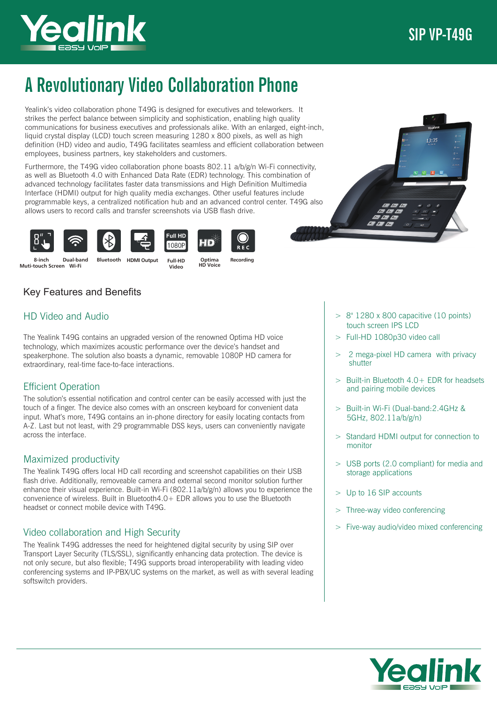

# A Revolutionary Video Collaboration Phone

Yealink's video collaboration phone T49G is designed for executives and teleworkers. It strikes the perfect balance between simplicity and sophistication, enabling high quality communications for business executives and professionals alike. With an enlarged, eight-inch, liquid crystal display (LCD) touch screen measuring 1280 x 800 pixels, as well as high definition (HD) video and audio, T49G facilitates seamless and efficient collaboration between employees, business partners, key stakeholders and customers.

Furthermore, the T49G video collaboration phone boasts 802.11 a/b/g/n Wi-Fi connectivity, as well as Bluetooth 4.0 with Enhanced Data Rate (EDR) technology. This combination of advanced technology facilitates faster data transmissions and High Definition Multimedia Interface (HDMI) output for high quality media exchanges. Other useful features include programmable keys, a centralized notification hub and an advanced control center. T49G also allows users to record calls and transfer screenshots via USB flash drive.





extraordinary, real-time face-to-face interactions.

headset or connect mobile device with T49G.

Video collaboration and High Security

Key Features and Benefits

HD Video and Audio

Efficient Operation

across the interface.

softswitch providers.

Maximized productivity







 $R \to C$ 

8-inch Muti-touch Screen Wi-Fi

The Yealink T49G contains an upgraded version of the renowned Optima HD voice technology, which maximizes acoustic performance over the device's handset and speakerphone. The solution also boasts a dynamic, removable 1080P HD camera for

The solution's essential notification and control center can be easily accessed with just the touch of a finger. The device also comes with an onscreen keyboard for convenient data input. What's more, T49G contains an in-phone directory for easily locating contacts from A-Z. Last but not least, with 29 programmable DSS keys, users can conveniently navigate

The Yealink T49G offers local HD call recording and screenshot capabilities on their USB flash drive. Additionally, removeable camera and external second monitor solution further enhance their visual experience. Built-in Wi-Fi (802.11a/b/g/n) allows you to experience the convenience of wireless. Built in Bluetooth4.0+ EDR allows you to use the Bluetooth

The Yealink T49G addresses the need for heightened digital security by using SIP over Transport Layer Security (TLS/SSL), significantly enhancing data protection. The device is not only secure, but also flexible; T49G supports broad interoperability with leading video conferencing systems and IP-PBX/UC systems on the market, as well as with several leading

Optima HD Voice

Recording

 $> 8$ " 1280 x 800 capacitive (10 points) touch screen IPS LCD

- > Full-HD 1080p30 video call
- 2 mega-pixel HD camera with privacy shutter
- > Built-in Bluetooth 4.0+ EDR for headsets and pairing mobile devices
- > Built-in Wi-Fi (Dual-band:2.4GHz & 5GHz, 802.11a/b/g/n)
- > Standard HDMI output for connection to monitor
- > USB ports (2.0 compliant) for media and storage applications
- > Up to 16 SIP accounts
- Three-way video conferencing
- Five-way audio/video mixed conferencing



1080P Dual-band Bluetooth HDMI Output Full-HD Video

Full HD